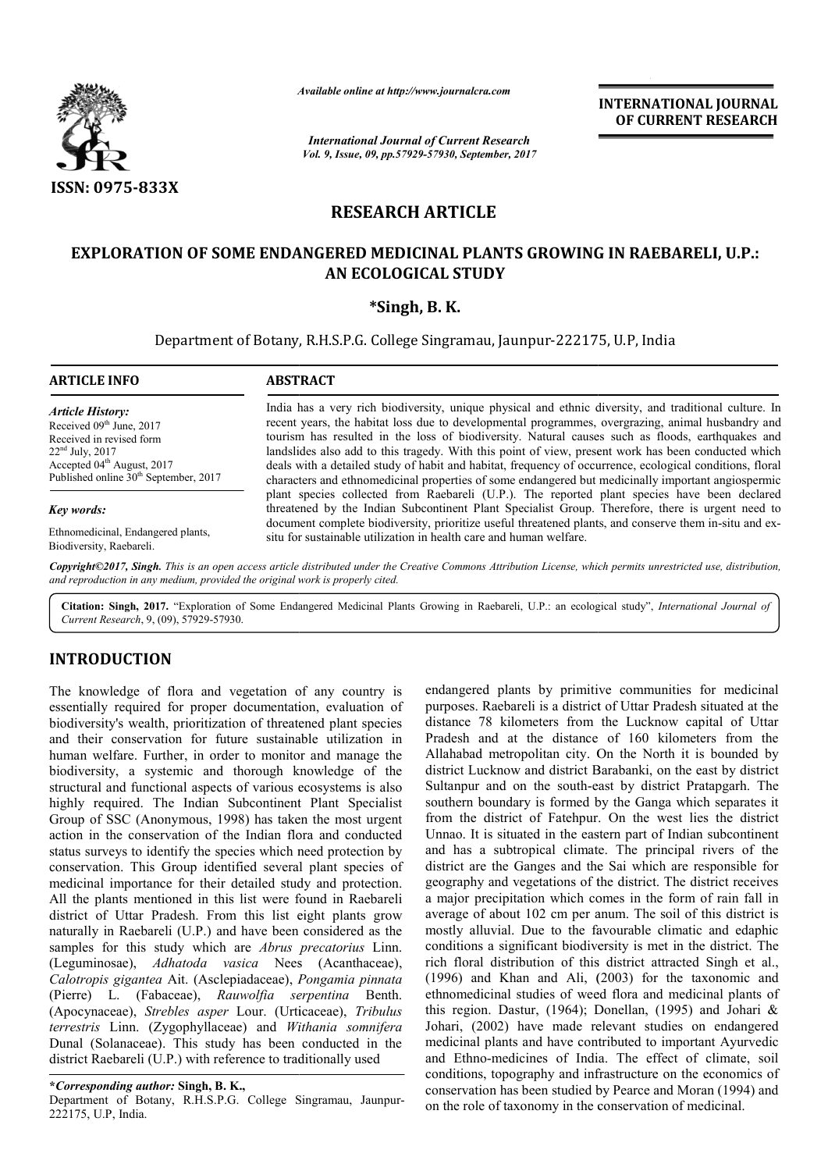

*Available online at http://www.journal*

*International Journal of Current Research Vol. 9, Issue, 09, pp.57929-57930, September, 2017* **INTERNATIONAL JOURNAL OF CURRENT RESEARCH** 

# **RESEARCH ARTICLE**

# **EXPLORATION OF SOME ENDANGERED MEDICINAL PLANTS GROWING IN RAEBARELI, U.P.: MEDICINAL PLANTS AN ECOLOGICAL STUDY**

## **\*Singh, B. K.**

Department of Botany, R.H.S.P.G. College Singramau, Jaunpur-222175, U.P, India

#### **ARTICLE INFO ABSTRACT**

*Article History:* Received 09<sup>th</sup> June, 2017 Received in revised form 22nd July, 2017 Accepted 04<sup>th</sup> August, 2017 Published online  $30<sup>th</sup>$  September, 2017

#### *Key words:*

Ethnomedicinal, Endangered plants, Biodiversity, Raebareli.

India has a very rich biodiversity, unique physical and ethnic diversity, and traditional culture. In recent years, the habitat loss due to developmental programmes, overgrazing, animal husbandry and tourism has resulted in the loss of biodiversity. Natural causes such as floods, earthquakes and landslides also add to this tragedy. With this point of view, present work has been conducted which deals with a detailed study of habit and habitat, frequency of occurrence, ecological conditions, floral characters and ethnomedicinal properties of some endangered but medicinally important angiospermic plant species collected from Raebareli (U.P.). The reported plant species have been declared threatened by the Indian Subcontinent Plant Specialist Group. Therefore, there is urgent need to document complete biodiversity, prioritize useful threatened plants, and conserve them in-situ and exsitu for sustainable utilization in health care and human welfare. Available online at http://www.journalcra.com<br>
International Journal of Current Resection<br>
Vol. 9, Issue, 09, pp.57929-57930, September,<br> **RESEARCH ARTICLE**<br> **RESEARCH ARTICLE**<br> **RESEARCH ARTICLE**<br> **RESEARCH ARTICLE**<br> **RES** India has a very rich biodiversity, unique physical and ethnic diversity, and traditional culture. In recent years, the habitat loss due to developmental programmes, overgrazing, animal husbandry and tourism has resulted i

Copyright©2017, Singh. This is an open access article distributed under the Creative Commons Attribution License, which permits unrestricted use, distribution, *and reproduction in any medium, provided the original work is properly cited.*

Citation: Singh, 2017. "Exploration of Some Endangered Medicinal Plants Growing in Raebareli, U.P.: an ecological study", *International Journal of Current Research*, 9, (09), 57929-57930.

## **INTRODUCTION**

The knowledge of flora and vegetation of any country is essentially required for proper documentation, evaluation of biodiversity's wealth, prioritization of threatened plant species and their conservation for future sustainable utilization in human welfare. Further, in order to monitor and manage the biodiversity, a systemic and thorough knowledge of the structural and functional aspects of various ecosystems is also highly required. The Indian Subcontinent Plant Specialist Group of SSC (Anonymous, 1998) has taken the most urgent action in the conservation of the Indian flora and conducted status surveys to identify the species which need protection by conservation. This Group identified several plant species of medicinal importance for their detailed study and protection. All the plants mentioned in this list were found in Raebareli district of Uttar Pradesh. From this list eight plants grow naturally in Raebareli (U.P.) and have been considered as the samples for this study which are *Abrus precatorius* Linn. (Leguminosae), *Adhatoda vasica* Nees (Acanthaceae), *Calotropis gigantea* Ait. (Asclepiadaceae), *Pongamia pinnata*  (Pierre) L. (Fabaceae), *Rauwolfia serpentina*  Benth. (Apocynaceae), *Strebles asper* Lour. (Urticaceae), *Tribulus terrestris* Linn. (Zygophyllaceae) and *Withania somnifera* Dunal (Solanaceae). This study has been conducted in the district Raebareli (U.P.) with reference to traditionally used e. Further, in order to move<br>a systemic and thoroug<br>functional aspects of varied. The Indian Subconti<br>2 (Anonymous, 1998) has

**\****Corresponding author:* **Singh, B. K.,** Department of Botany, R.H.S.P.G. College Singramau, Jaunpur Jaunpur-222175, U.P, India.

endangered plants by primitive communities for medicinal purposes. Raebareli is a district of Uttar Pradesh situated at the distance 78 kilometers from the Lucknow capital of Uttar Pradesh and at the distance of 160 kilometers from the Allahabad metropolitan city. On the North it is bounded by district Lucknow and district Barabanki, on the east by district Sultanpur and on the south-east by district Pratapgarh. The southern boundary is formed by the Ganga which separates it from the district of Fatehpur. On the west lies the district Unnao. It is situated in the eastern part of Indian subcontinent and has a subtropical climate. The principal rivers of the district are the Ganges and the Sai which are responsible for geography and vegetations of the district. The district receives a major precipitation which comes in the form of rain fall in average of about 102 cm per anum. The soil of this district is mostly alluvial. Due to the favourable climatic and edaphic conditions a significant biodiversity is met in the district. The rich floral distribution of this district attracted Singh et al., (1996) and Khan and Ali, (2003) for the taxonomic and ethnomedicinal studies of weed flora and medicinal plants of this region. Dastur, (1964); Donellan, (1995) and Johari  $\&$ Johari, (2002) have made relevant studies on endangered medicinal plants and have contributed to important Ayurvedic and Ethno-medicines of India. The effect of climate, soil conditions, topography and infrastructure on the economics of conservation has been studied by Pearce and Moran (1994) and on the role of taxonomy in the conservation of medicinal. purposes. Raebareli is a district of Uttar Pradesh situated at the distance 78 kilometers from the Lucknow capital of Uttar Pradesh and at the distance of 160 kilometers from the Allahabad metropolitan city. On the North i **INTERNATIONAL JOURNAL (CONSUMPARTIONAL ACCENT RESEARCH CONSUMPARTICLE CONSUMPARTICLE CONSUMPARTICLE CONSUMPARTICLE (ACCENT RESEARCH AND SUPPARTICLE CONSUMPARTICLE CONSUMPARTICLE CONSUMPARTICLE CONSUMPARTICLE INTERNATIONA**